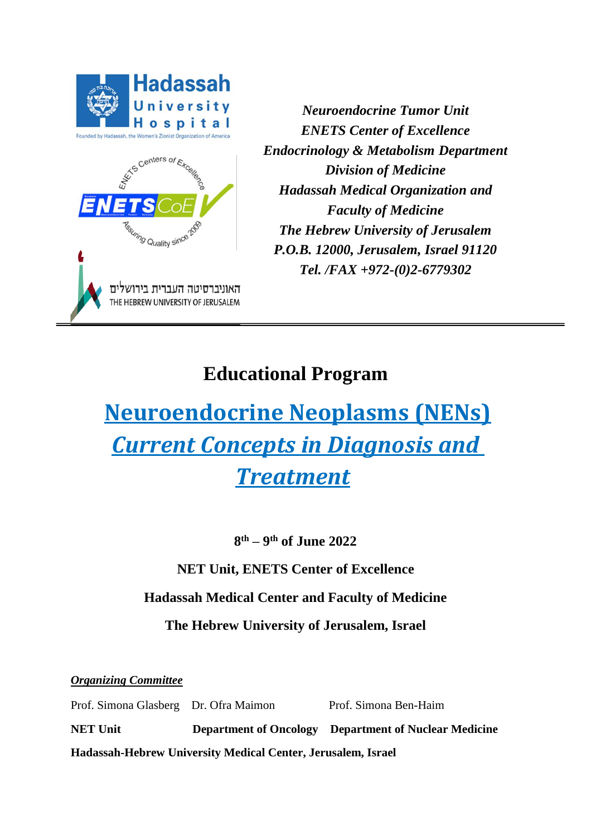

*Neuroendocrine Tumor Unit ENETS Center of Excellence Endocrinology & Metabolism Department Division of Medicine Hadassah Medical Organization and Faculty of Medicine The Hebrew University of Jerusalem P.O.B. 12000, Jerusalem, Israel 91120 Tel. /FAX +972-(0)2-6779302*

# **Educational Program**

# **Neuroendocrine Neoplasms (NENs)** *Current Concepts in Diagnosis and Treatment*

**8 th – 9 th of June 2022** 

**NET Unit, ENETS Center of Excellence**

# **Hadassah Medical Center and Faculty of Medicine**

**The Hebrew University of Jerusalem, Israel**

*Organizing Committee*

Prof. Simona Glasberg Dr. Ofra Maimon Prof. Simona Ben-Haim **NET Unit Department of Oncology Department of Nuclear Medicine** 

**Hadassah-Hebrew University Medical Center, Jerusalem, Israel**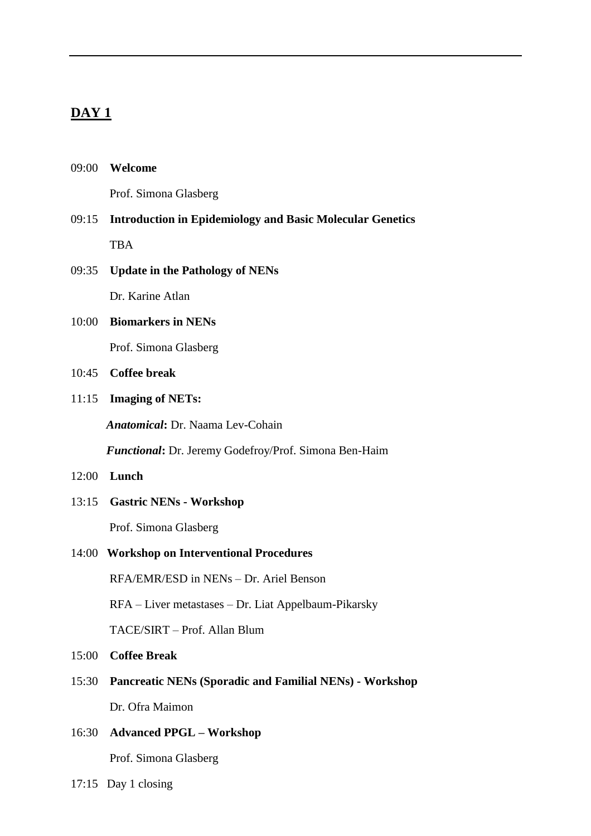# **DAY 1**

| 09:00 | Welcome |
|-------|---------|
|-------|---------|

Prof. Simona Glasberg

# 09:15 **Introduction in Epidemiology and Basic Molecular Genetics** TBA

## 09:35 **Update in the Pathology of NENs**

Dr. Karine Atlan

# 10:00 **Biomarkers in NENs**

Prof. Simona Glasberg

# 10:45 **Coffee break**

#### 11:15 **Imaging of NETs:**

*Anatomical***:** Dr. Naama Lev-Cohain

*Functional***:** Dr. Jeremy Godefroy/Prof. Simona Ben-Haim

## 12:00 **Lunch**

13:15 **Gastric NENs - Workshop**

Prof. Simona Glasberg

### 14:00 **Workshop on Interventional Procedures**

RFA/EMR/ESD in NENs – Dr. Ariel Benson

RFA – Liver metastases – Dr. Liat Appelbaum-Pikarsky

TACE/SIRT – Prof. Allan Blum

15:00 **Coffee Break**

15:30 **Pancreatic NENs (Sporadic and Familial NENs) - Workshop** Dr. Ofra Maimon

# 16:30 **Advanced PPGL – Workshop**

Prof. Simona Glasberg

17:15 Day 1 closing